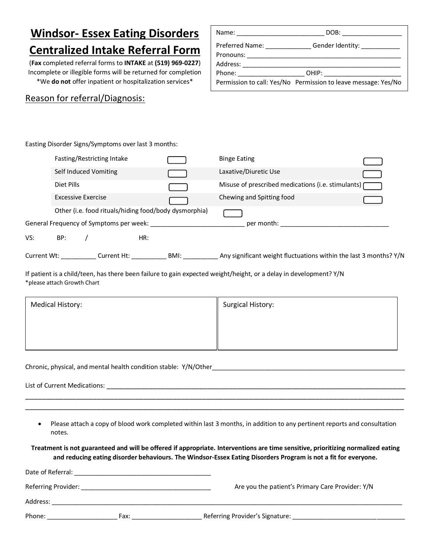## **Windsor- Essex Eating Disorders Centralized Intake Referral Form**

(**Fax** completed referral forms to **INTAKE** at **(519) 969-0227**) Incomplete or illegible forms will be returned for completion \*We **do not** offer inpatient or hospitalization services\*

## Reason for referral/Diagnosis:

|                                                                                                                                                                                                                                | DOB: _______________                                           |
|--------------------------------------------------------------------------------------------------------------------------------------------------------------------------------------------------------------------------------|----------------------------------------------------------------|
| Preferred Name:                                                                                                                                                                                                                | Gender Identity: ___________                                   |
| Address: and the state of the state of the state of the state of the state of the state of the state of the state of the state of the state of the state of the state of the state of the state of the state of the state of t |                                                                |
| Phone: the contract of the contract of the contract of the contract of the contract of the contract of the contract of the contract of the contract of the contract of the contract of the contract of the contract of the con |                                                                |
|                                                                                                                                                                                                                                | Permission to call: Yes/No Permission to leave message: Yes/No |

Easting Disorder Signs/Symptoms over last 3 months:

|             | Fasting/Restricting Intake                            |  |                                         |     |      | <b>Binge Eating</b>                                               |
|-------------|-------------------------------------------------------|--|-----------------------------------------|-----|------|-------------------------------------------------------------------|
|             | Self Induced Vomiting                                 |  |                                         |     |      | Laxative/Diuretic Use                                             |
|             | Diet Pills                                            |  |                                         |     |      | Misuse of prescribed medications (i.e. stimulants) [              |
|             | Excessive Exercise                                    |  |                                         |     |      | Chewing and Spitting food                                         |
|             | Other (i.e. food rituals/hiding food/body dysmorphia) |  |                                         |     |      |                                                                   |
|             |                                                       |  | General Frequency of Symptoms per week: |     |      | per month:                                                        |
| VS:         | BP:                                                   |  |                                         | HR: |      |                                                                   |
| Current Wt: |                                                       |  | Current Ht:                             |     | BMI: | Any significant weight fluctuations within the last 3 months? Y/N |

If patient is a child/teen, has there been failure to gain expected weight/height, or a delay in development? Y/N \*please attach Growth Chart

| Medical History: | <b>Surgical History:</b> |
|------------------|--------------------------|
|                  |                          |
|                  |                          |
|                  |                          |

Chronic, physical, and mental health condition stable: Y/N/Other

List of Current Medications: \_\_\_\_\_\_\_\_\_\_\_\_\_\_\_\_\_\_\_\_\_\_\_\_\_\_\_\_\_\_\_\_\_\_\_\_\_\_\_\_\_\_\_\_\_\_\_\_\_\_\_\_\_\_\_\_\_\_\_\_\_\_\_\_\_\_\_\_\_\_\_

 Please attach a copy of blood work completed within last 3 months, in addition to any pertinent reports and consultation notes.

\_\_\_\_\_\_\_\_\_\_\_\_\_\_\_\_\_\_\_\_\_\_\_\_\_\_\_\_\_\_\_\_\_\_\_\_\_\_\_\_\_\_\_\_\_\_\_\_\_\_\_\_\_\_\_\_\_\_\_\_\_\_\_\_\_\_\_\_\_\_\_\_\_\_\_\_\_\_\_\_\_\_\_\_\_\_\_\_\_\_ \_\_\_\_\_\_\_\_\_\_\_\_\_\_\_\_\_\_\_\_\_\_\_\_\_\_\_\_\_\_\_\_\_\_\_\_\_\_\_\_\_\_\_\_\_\_\_\_\_\_\_\_\_\_\_\_\_\_\_\_\_\_\_\_\_\_\_\_\_\_\_\_\_\_\_\_\_\_\_\_\_\_\_\_\_\_\_\_\_\_

**Treatment is not guaranteed and will be offered if appropriate. Interventions are time sensitive, prioritizing normalized eating and reducing eating disorder behaviours. The Windsor-Essex Eating Disorders Program is not a fit for everyone.**

| Date of Referral:   |      |                                                  |
|---------------------|------|--------------------------------------------------|
| Referring Provider: |      | Are you the patient's Primary Care Provider: Y/N |
| Address:            |      |                                                  |
| Phone:              | Fax: | Referring Provider's Signature:                  |